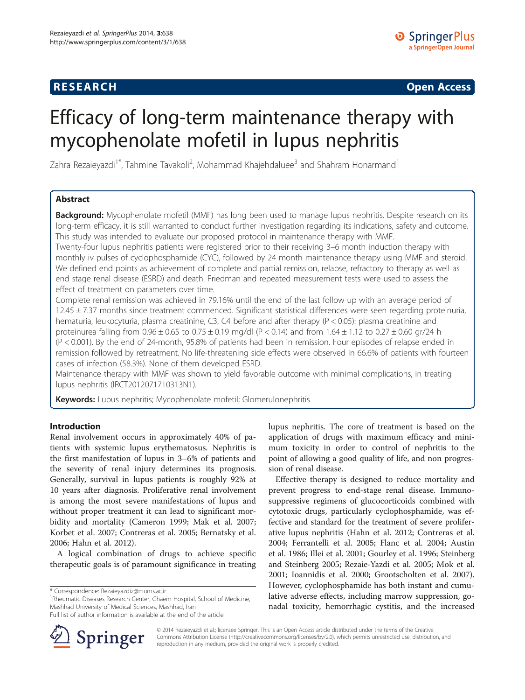# **RESEARCH CHINESE ARCH CHINESE ARCH CHINESE ARCH <b>CHINESE ARCH**

# Efficacy of long-term maintenance therapy with mycophenolate mofetil in lupus nephritis

Zahra Rezaieyazdi<sup>1\*</sup>, Tahmine Tavakoli<sup>2</sup>, Mohammad Khajehdaluee<sup>3</sup> and Shahram Honarmand<sup>1</sup>

# Abstract

Background: Mycophenolate mofetil (MMF) has long been used to manage lupus nephritis. Despite research on its long-term efficacy, it is still warranted to conduct further investigation regarding its indications, safety and outcome. This study was intended to evaluate our proposed protocol in maintenance therapy with MMF.

Twenty-four lupus nephritis patients were registered prior to their receiving 3–6 month induction therapy with monthly iv pulses of cyclophosphamide (CYC), followed by 24 month maintenance therapy using MMF and steroid. We defined end points as achievement of complete and partial remission, relapse, refractory to therapy as well as end stage renal disease (ESRD) and death. Friedman and repeated measurement tests were used to assess the effect of treatment on parameters over time.

Complete renal remission was achieved in 79.16% until the end of the last follow up with an average period of  $12.45 \pm 7.37$  months since treatment commenced. Significant statistical differences were seen regarding proteinuria, hematuria, leukocyturia, plasma creatinine, C3, C4 before and after therapy (P < 0.05): plasma creatinine and proteinurea falling from  $0.96 \pm 0.65$  to  $0.75 \pm 0.19$  mg/dl (P < 0.14) and from  $1.64 \pm 1.12$  to  $0.27 \pm 0.60$  gr/24 h (P < 0.001). By the end of 24-month, 95.8% of patients had been in remission. Four episodes of relapse ended in remission followed by retreatment. No life-threatening side effects were observed in 66.6% of patients with fourteen cases of infection (58.3%). None of them developed ESRD.

Maintenance therapy with MMF was shown to yield favorable outcome with minimal complications, in treating lupus nephritis (IRCT2012071710313N1).

Keywords: Lupus nephritis; Mycophenolate mofetil; Glomerulonephritis

# Introduction

Renal involvement occurs in approximately 40% of patients with systemic lupus erythematosus. Nephritis is the first manifestation of lupus in 3–6% of patients and the severity of renal injury determines its prognosis. Generally, survival in lupus patients is roughly 92% at 10 years after diagnosis. Proliferative renal involvement is among the most severe manifestations of lupus and without proper treatment it can lead to significant morbidity and mortality (Cameron [1999](#page-6-0); Mak et al. [2007](#page-7-0); Korbet et al. [2007;](#page-7-0) Contreras et al. [2005](#page-6-0); Bernatsky et al. [2006](#page-6-0); Hahn et al. [2012](#page-6-0)).

A logical combination of drugs to achieve specific therapeutic goals is of paramount significance in treating

<sup>1</sup>Rheumatic Diseases Research Center, Ghaem Hospital, School of Medicine, Mashhad University of Medical Sciences, Mashhad, Iran

Full list of author information is available at the end of the article



lupus nephritis. The core of treatment is based on the application of drugs with maximum efficacy and minimum toxicity in order to control of nephritis to the point of allowing a good quality of life, and non progression of renal disease.

Effective therapy is designed to reduce mortality and prevent progress to end-stage renal disease. Immunosuppressive regimens of glucocorticoids combined with cytotoxic drugs, particularly cyclophosphamide, was effective and standard for the treatment of severe proliferative lupus nephritis (Hahn et al. [2012;](#page-6-0) Contreras et al. [2004](#page-6-0); Ferrantelli et al. [2005](#page-6-0); Flanc et al. [2004](#page-6-0); Austin et al. [1986;](#page-6-0) Illei et al. [2001](#page-7-0); Gourley et al. [1996](#page-6-0); Steinberg and Steinberg [2005](#page-7-0); Rezaie-Yazdi et al. [2005;](#page-7-0) Mok et al. [2001](#page-7-0); Ioannidis et al. [2000](#page-7-0); Grootscholten et al. [2007](#page-6-0)). However, cyclophosphamide has both instant and cumulative adverse effects, including marrow suppression, gonadal toxicity, hemorrhagic cystitis, and the increased

© 2014 Rezaieyazdi et al.; licensee Springer. This is an Open Access article distributed under the terms of the Creative Commons Attribution License (<http://creativecommons.org/licenses/by/2.0>), which permits unrestricted use, distribution, and reproduction in any medium, provided the original work is properly credited.

<sup>\*</sup> Correspondence: [Rezaieyazdiz@mums.ac.ir](mailto:Rezaieyazdiz@mums.ac.ir) <sup>1</sup>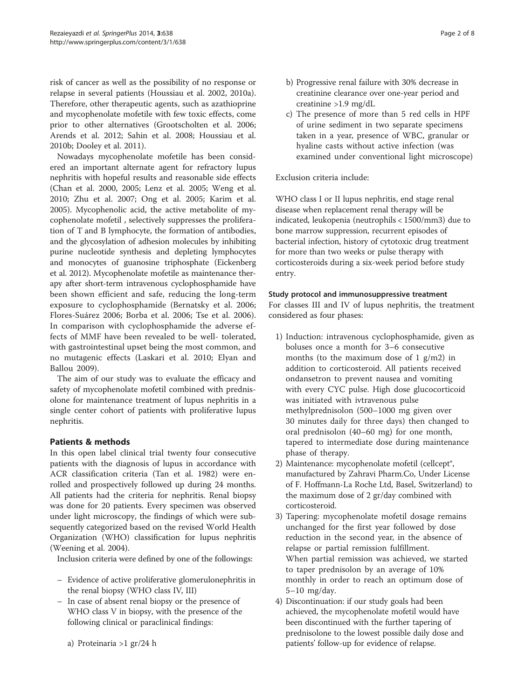risk of cancer as well as the possibility of no response or relapse in several patients (Houssiau et al. [2002](#page-6-0), [2010a](#page-6-0)). Therefore, other therapeutic agents, such as azathioprine and mycophenolate mofetile with few toxic effects, come prior to other alternatives (Grootscholten et al. [2006](#page-6-0); Arends et al. [2012;](#page-6-0) Sahin et al. [2008;](#page-7-0) Houssiau et al. [2010b](#page-6-0); Dooley et al. [2011](#page-6-0)).

Nowadays mycophenolate mofetile has been considered an important alternate agent for refractory lupus nephritis with hopeful results and reasonable side effects (Chan et al. [2000](#page-6-0), [2005;](#page-6-0) Lenz et al. [2005;](#page-7-0) Weng et al. [2010](#page-7-0); Zhu et al. [2007;](#page-7-0) Ong et al. [2005](#page-7-0); Karim et al. [2005](#page-7-0)). Mycophenolic acid, the active metabolite of mycophenolate mofetil , selectively suppresses the proliferation of T and B lymphocyte, the formation of antibodies, and the glycosylation of adhesion molecules by inhibiting purine nucleotide synthesis and depleting lymphocytes and monocytes of guanosine triphosphate (Eickenberg et al. [2012\)](#page-6-0). Mycophenolate mofetile as maintenance therapy after short-term intravenous cyclophosphamide have been shown efficient and safe, reducing the long-term exposure to cyclophosphamide (Bernatsky et al. [2006](#page-6-0); Flores-Suárez [2006;](#page-6-0) Borba et al. [2006](#page-6-0); Tse et al. [2006](#page-7-0)). In comparison with cyclophosphamide the adverse effects of MMF have been revealed to be well- tolerated, with gastrointestinal upset being the most common, and no mutagenic effects (Laskari et al. [2010;](#page-7-0) Elyan and Ballou [2009](#page-6-0)).

The aim of our study was to evaluate the efficacy and safety of mycophenolate mofetil combined with prednisolone for maintenance treatment of lupus nephritis in a single center cohort of patients with proliferative lupus nephritis.

# Patients & methods

In this open label clinical trial twenty four consecutive patients with the diagnosis of lupus in accordance with ACR classification criteria (Tan et al. [1982\)](#page-7-0) were enrolled and prospectively followed up during 24 months. All patients had the criteria for nephritis. Renal biopsy was done for 20 patients. Every specimen was observed under light microscopy, the findings of which were subsequently categorized based on the revised World Health Organization (WHO) classification for lupus nephritis (Weening et al. [2004\)](#page-7-0).

Inclusion criteria were defined by one of the followings:

- Evidence of active proliferative glomerulonephritis in the renal biopsy (WHO class IV, III)
- In case of absent renal biopsy or the presence of WHO class V in biopsy, with the presence of the following clinical or paraclinical findings:
- b) Progressive renal failure with 30% decrease in creatinine clearance over one-year period and creatinine >1.9 mg/dL
- c) The presence of more than 5 red cells in HPF of urine sediment in two separate specimens taken in a year, presence of WBC, granular or hyaline casts without active infection (was examined under conventional light microscope)

Exclusion criteria include:

WHO class I or II lupus nephritis, end stage renal disease when replacement renal therapy will be indicated, leukopenia (neutrophils < 1500/mm3) due to bone marrow suppression, recurrent episodes of bacterial infection, history of cytotoxic drug treatment for more than two weeks or pulse therapy with corticosteroids during a six-week period before study entry.

# Study protocol and immunosuppressive treatment

For classes III and IV of lupus nephritis, the treatment considered as four phases:

- 1) Induction: intravenous cyclophosphamide, given as boluses once a month for 3–6 consecutive months (to the maximum dose of 1 g/m2) in addition to corticosteroid. All patients received ondansetron to prevent nausea and vomiting with every CYC pulse. High dose glucocorticoid was initiated with ivtravenous pulse methylprednisolon (500–1000 mg given over 30 minutes daily for three days) then changed to oral prednisolon (40–60 mg) for one month, tapered to intermediate dose during maintenance phase of therapy.
- 2) Maintenance: mycophenolate mofetil (cellcept®, manufactured by Zahravi Pharm.Co, Under License of F. Hoffmann-La Roche Ltd, Basel, Switzerland) to the maximum dose of 2 gr/day combined with corticosteroid.
- 3) Tapering: mycophenolate mofetil dosage remains unchanged for the first year followed by dose reduction in the second year, in the absence of relapse or partial remission fulfillment. When partial remission was achieved, we started to taper prednisolon by an average of 10% monthly in order to reach an optimum dose of 5–10 mg/day.
- 4) Discontinuation: if our study goals had been achieved, the mycophenolate mofetil would have been discontinued with the further tapering of prednisolone to the lowest possible daily dose and patients' follow-up for evidence of relapse.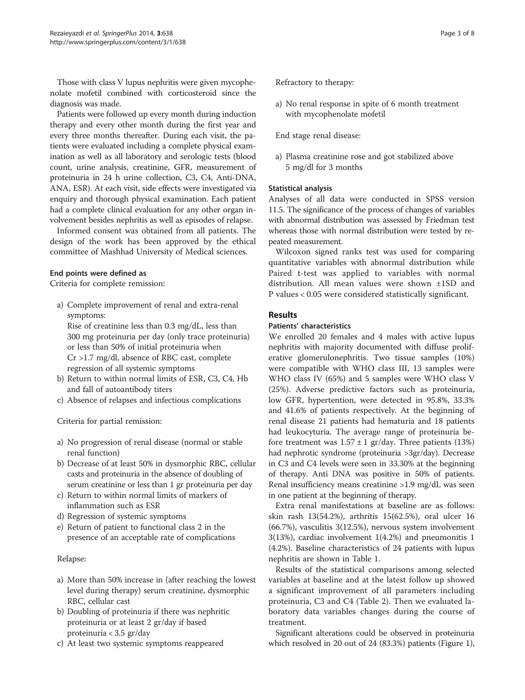Those with class V lupus nephritis were given mycophenolate mofetil combined with corticosteroid since the diagnosis was made.

Patients were followed up every month during induction therapy and every other month during the first year and every three months thereafter. During each visit, the patients were evaluated including a complete physical examination as well as all laboratory and serologic tests (blood count, urine analysis, creatinine, GFR, measurement of proteinuria in 24 h urine collection, C3, C4, Anti-DNA, ANA, ESR). At each visit, side effects were investigated via enquiry and thorough physical examination. Each patient had a complete clinical evaluation for any other organ involvement besides nephritis as well as episodes of relapse.

Informed consent was obtained from all patients. The design of the work has been approved by the ethical committee of Mashhad University of Medical sciences.

### End points were defined as

Criteria for complete remission:

a) Complete improvement of renal and extra-renal symptoms: Rise of creatinine less than 0.3 mg/dL, less than 300 mg proteinuria per day (only trace proteinuria) or less than 50% of initial proteinuria when

Cr >1.7 mg/dl, absence of RBC cast, complete regression of all systemic symptoms

- b) Return to within normal limits of ESR, C3, C4, Hb and fall of autoantibody titers
- c) Absence of relapses and infectious complications

Criteria for partial remission:

- a) No progression of renal disease (normal or stable renal function)
- b) Decrease of at least 50% in dysmorphic RBC, cellular casts and proteinuria in the absence of doubling of serum creatinine or less than 1 gr proteinuria per day
- c) Return to within normal limits of markers of inflammation such as ESR
- d) Regression of systemic symptoms
- e) Return of patient to functional class 2 in the presence of an acceptable rate of complications

## Relapse:

- a) More than 50% increase in (after reaching the lowest level during therapy) serum creatinine, dysmorphic RBC, cellular cast
- b) Doubling of proteinuria if there was nephritic proteinuria or at least 2 gr/day if based proteinuria < 3.5 gr/day
- c) At least two systemic symptoms reappeared

Refractory to therapy:

a) No renal response in spite of 6 month treatment with mycophenolate mofetil

End stage renal disease:

a) Plasma creatinine rose and got stabilized above 5 mg/dl for 3 months

### Statistical analysis

Analyses of all data were conducted in SPSS version 11.5. The significance of the process of changes of variables with abnormal distribution was assessed by Friedman test whereas those with normal distribution were tested by repeated measurement.

Wilcoxon signed ranks test was used for comparing quantitative variables with abnormal distribution while Paired t-test was applied to variables with normal distribution. All mean values were shown ±1SD and P values < 0.05 were considered statistically significant.

## Results

#### Patients' characteristics

We enrolled 20 females and 4 males with active lupus nephritis with majority documented with diffuse proliferative glomerulonephritis. Two tissue samples (10%) were compatible with WHO class III, 13 samples were WHO class IV (65%) and 5 samples were WHO class V (25%). Adverse predictive factors such as proteinuria, low GFR, hypertention, were detected in 95.8%, 33.3% and 41.6% of patients respectively. At the beginning of renal disease 21 patients had hematuria and 18 patients had leukocyturia. The average range of proteinuria before treatment was  $1.57 \pm 1$  gr/day. Three patients (13%) had nephrotic syndrome (proteinuria >3gr/day). Decrease in C3 and C4 levels were seen in 33.30% at the beginning of therapy. Anti DNA was positive in 50% of patients. Renal insufficiency means creatinine >1.9 mg/dL was seen in one patient at the beginning of therapy.

Extra renal manifestations at baseline are as follows: skin rash 13(54.2%), arthritis 15(62.5%), oral ulcer 16 (66.7%), vasculitis 3(12.5%), nervous system involvement 3(13%), cardiac involvement 1(4.2%) and pneumonitis 1 (4.2%). Baseline characteristics of 24 patients with lupus nephritis are shown in Table [1](#page-3-0).

Results of the statistical comparisons among selected variables at baseline and at the latest follow up showed a significant improvement of all parameters including proteinuria, C3 and C4 (Table [2](#page-3-0)). Then we evaluated laboratory data variables changes during the course of treatment.

Significant alterations could be observed in proteinuria which resolved in 20 out of 24 (83.3%) patients (Figure [1](#page-4-0)),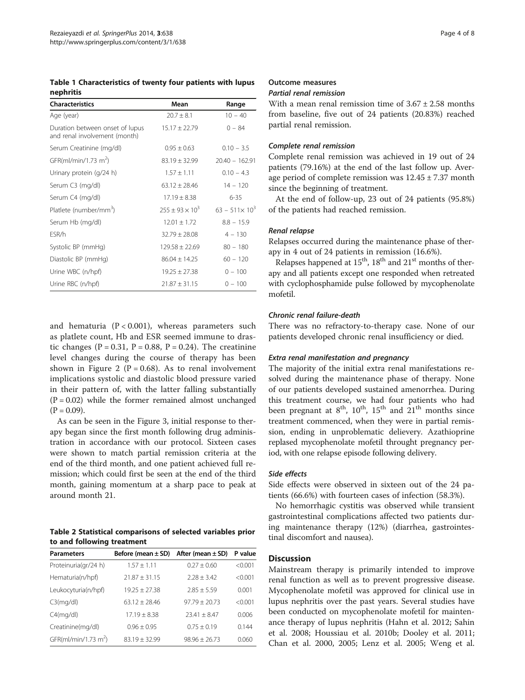<span id="page-3-0"></span>Table 1 Characteristics of twenty four patients with lupus nephritis

| <b>Characteristics</b>                                           | Mean                   | Range                  |
|------------------------------------------------------------------|------------------------|------------------------|
| Age (year)                                                       | $20.7 \pm 8.1$         | $10 - 40$              |
| Duration between onset of lupus<br>and renal involvement (month) | $15.17 \pm 22.79$      | $0 - 84$               |
| Serum Creatinine (mg/dl)                                         | $0.95 \pm 0.63$        | $0.10 - 3.5$           |
| GFR(ml/min/1.73 m <sup>2</sup> )                                 | $83.19 \pm 32.99$      | $20.40 - 162.91$       |
| Urinary protein (g/24 h)                                         | $1.57 \pm 1.11$        | $0.10 - 4.3$           |
| Serum C3 (mg/dl)                                                 | $63.12 + 28.46$        | $14 - 120$             |
| Serum C4 (mg/dl)                                                 | $17.19 \pm 8.38$       | $6 - 35$               |
| Platlete (number/mm <sup>3</sup> )                               | $255 + 93 \times 10^3$ | $63 - 511 \times 10^3$ |
| Serum Hb (mg/dl)                                                 | $12.01 + 1.72$         | $8.8 - 15.9$           |
| ESR/h                                                            | $32.79 \pm 28.08$      | $4 - 130$              |
| Systolic BP (mmHg)                                               | $129.58 \pm 22.69$     | $80 - 180$             |
| Diastolic BP (mmHg)                                              | $86.04 \pm 14.25$      | $60 - 120$             |
| Urine WBC (n/hpf)                                                | $19.25 \pm 27.38$      | $0 - 100$              |
| Urine RBC (n/hpf)                                                | $21.87 \pm 31.15$      | $0 - 100$              |

and hematuria  $(P < 0.001)$ , whereas parameters such as platlete count, Hb and ESR seemed immune to drastic changes ( $P = 0.31$ ,  $P = 0.88$ ,  $P = 0.24$ ). The creatinine level changes during the course of therapy has been shown in Figure [2](#page-4-0) ( $P = 0.68$ ). As to renal involvement implications systolic and diastolic blood pressure varied in their pattern of, with the latter falling substantially  $(P = 0.02)$  while the former remained almost unchanged  $(P = 0.09)$ .

As can be seen in the Figure [3](#page-5-0), initial response to therapy began since the first month following drug administration in accordance with our protocol. Sixteen cases were shown to match partial remission criteria at the end of the third month, and one patient achieved full remission; which could first be seen at the end of the third month, gaining momentum at a sharp pace to peak at around month 21.

Table 2 Statistical comparisons of selected variables prior to and following treatment

| <b>Parameters</b>                | Before (mean $\pm$ SD) | After (mean $\pm$ SD) | P value |
|----------------------------------|------------------------|-----------------------|---------|
| Proteinuria(gr/24 h)             | $1.57 + 1.11$          | $0.27 + 0.60$         | < 0.001 |
| Hematuria(n/hpf)                 | $21.87 + 31.15$        | $2.28 \pm 3.42$       | < 0.001 |
| Leukocyturia(n/hpf)              | $19.25 + 27.38$        | $2.85 + 5.59$         | 0.001   |
| C3(mq/d)                         | $63.12 + 28.46$        | $97.79 + 20.73$       | < 0.001 |
| C4(mq/d)                         | $17.19 + 8.38$         | $23.41 + 8.47$        | 0.006   |
| Creatinine(mg/dl)                | $0.96 + 0.95$          | $0.75 + 0.19$         | 0.144   |
| GFR(ml/min/1.73 m <sup>2</sup> ) | $83.19 + 32.99$        | $98.96 + 26.73$       | 0.060   |

#### Outcome measures

## Partial renal remission

With a mean renal remission time of  $3.67 \pm 2.58$  months from baseline, five out of 24 patients (20.83%) reached partial renal remission.

### Complete renal remission

Complete renal remission was achieved in 19 out of 24 patients (79.16%) at the end of the last follow up. Average period of complete remission was  $12.45 \pm 7.37$  month since the beginning of treatment.

At the end of follow-up, 23 out of 24 patients (95.8%) of the patients had reached remission.

#### Renal relapse

Relapses occurred during the maintenance phase of therapy in 4 out of 24 patients in remission (16.6%).

Relapses happened at  $15<sup>th</sup>$ ,  $18<sup>th</sup>$  and  $21<sup>st</sup>$  months of therapy and all patients except one responded when retreated with cyclophosphamide pulse followed by mycophenolate mofetil.

#### Chronic renal failure-death

There was no refractory-to-therapy case. None of our patients developed chronic renal insufficiency or died.

# Extra renal manifestation and pregnancy

The majority of the initial extra renal manifestations resolved during the maintenance phase of therapy. None of our patients developed sustained amenorrhea. During this treatment course, we had four patients who had been pregnant at  $8<sup>th</sup>$ ,  $10<sup>th</sup>$ ,  $15<sup>th</sup>$  and  $21<sup>th</sup>$  months since treatment commenced, when they were in partial remission, ending in unproblematic delievery. Azathioprine replased mycophenolate mofetil throught pregnancy period, with one relapse episode following delivery.

### Side effects

Side effects were observed in sixteen out of the 24 patients (66.6%) with fourteen cases of infection (58.3%).

No hemorrhagic cystitis was observed while transient gastrointestinal complications affected two patients during maintenance therapy (12%) (diarrhea, gastrointestinal discomfort and nausea).

## **Discussion**

Mainstream therapy is primarily intended to improve renal function as well as to prevent progressive disease. Mycophenolate mofetil was approved for clinical use in lupus nephritis over the past years. Several studies have been conducted on mycophenolate mofetil for maintenance therapy of lupus nephritis (Hahn et al. [2012](#page-6-0); Sahin et al. [2008](#page-7-0); Houssiau et al. [2010b;](#page-6-0) Dooley et al. [2011](#page-6-0); Chan et al. [2000](#page-6-0), [2005;](#page-6-0) Lenz et al. [2005;](#page-7-0) Weng et al.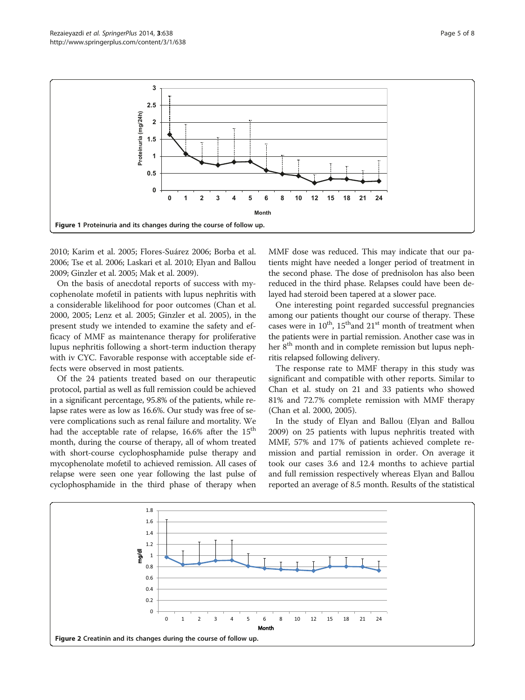

<span id="page-4-0"></span>

[2010](#page-7-0); Karim et al. [2005;](#page-7-0) Flores-Suárez [2006](#page-6-0); Borba et al. [2006;](#page-6-0) Tse et al. [2006](#page-7-0); Laskari et al. [2010](#page-7-0); Elyan and Ballou [2009;](#page-6-0) Ginzler et al. [2005;](#page-6-0) Mak et al. [2009\)](#page-7-0).

On the basis of anecdotal reports of success with mycophenolate mofetil in patients with lupus nephritis with a considerable likelihood for poor outcomes (Chan et al. [2000](#page-6-0), [2005;](#page-6-0) Lenz et al. [2005](#page-7-0); Ginzler et al. [2005](#page-6-0)), in the present study we intended to examine the safety and efficacy of MMF as maintenance therapy for proliferative lupus nephritis following a short-term induction therapy with iv CYC. Favorable response with acceptable side effects were observed in most patients.

Of the 24 patients treated based on our therapeutic protocol, partial as well as full remission could be achieved in a significant percentage, 95.8% of the patients, while relapse rates were as low as 16.6%. Our study was free of severe complications such as renal failure and mortality. We had the acceptable rate of relapse,  $16.6\%$  after the  $15<sup>th</sup>$ month, during the course of therapy, all of whom treated with short-course cyclophosphamide pulse therapy and mycophenolate mofetil to achieved remission. All cases of relapse were seen one year following the last pulse of cyclophosphamide in the third phase of therapy when

MMF dose was reduced. This may indicate that our patients might have needed a longer period of treatment in the second phase. The dose of prednisolon has also been reduced in the third phase. Relapses could have been delayed had steroid been tapered at a slower pace.

One interesting point regarded successful pregnancies among our patients thought our course of therapy. These cases were in  $10^{th}$ ,  $15^{th}$  and  $21^{st}$  month of treatment when the patients were in partial remission. Another case was in her 8<sup>th</sup> month and in complete remission but lupus nephritis relapsed following delivery.

The response rate to MMF therapy in this study was significant and compatible with other reports. Similar to Chan et al. study on 21 and 33 patients who showed 81% and 72.7% complete remission with MMF therapy (Chan et al. [2000, 2005\)](#page-6-0).

In the study of Elyan and Ballou (Elyan and Ballou [2009](#page-6-0)) on 25 patients with lupus nephritis treated with MMF, 57% and 17% of patients achieved complete remission and partial remission in order. On average it took our cases 3.6 and 12.4 months to achieve partial and full remission respectively whereas Elyan and Ballou reported an average of 8.5 month. Results of the statistical

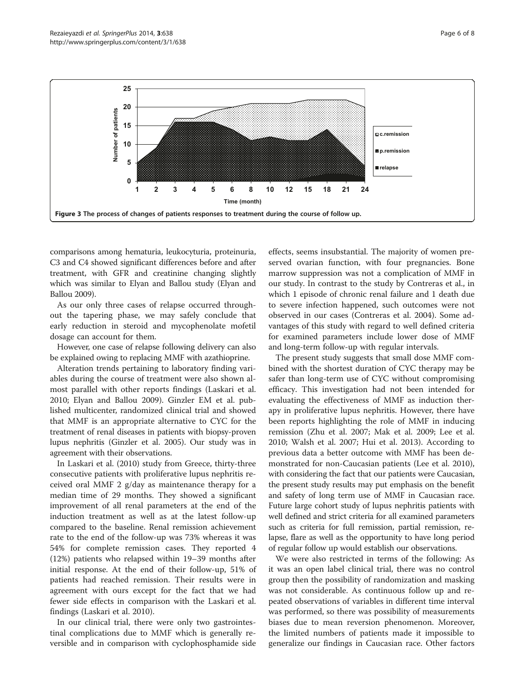<span id="page-5-0"></span>![](_page_5_Figure_2.jpeg)

comparisons among hematuria, leukocyturia, proteinuria, C3 and C4 showed significant differences before and after treatment, with GFR and creatinine changing slightly which was similar to Elyan and Ballou study (Elyan and Ballou [2009\)](#page-6-0).

As our only three cases of relapse occurred throughout the tapering phase, we may safely conclude that early reduction in steroid and mycophenolate mofetil dosage can account for them.

However, one case of relapse following delivery can also be explained owing to replacing MMF with azathioprine.

Alteration trends pertaining to laboratory finding variables during the course of treatment were also shown almost parallel with other reports findings (Laskari et al. [2010](#page-7-0); Elyan and Ballou [2009](#page-6-0)). Ginzler EM et al. published multicenter, randomized clinical trial and showed that MMF is an appropriate alternative to CYC for the treatment of renal diseases in patients with biopsy-proven lupus nephritis (Ginzler et al. [2005\)](#page-6-0). Our study was in agreement with their observations.

In Laskari et al. ([2010](#page-7-0)) study from Greece, thirty-three consecutive patients with proliferative lupus nephritis received oral MMF 2 g/day as maintenance therapy for a median time of 29 months. They showed a significant improvement of all renal parameters at the end of the induction treatment as well as at the latest follow-up compared to the baseline. Renal remission achievement rate to the end of the follow-up was 73% whereas it was 54% for complete remission cases. They reported 4 (12%) patients who relapsed within 19–39 months after initial response. At the end of their follow-up, 51% of patients had reached remission. Their results were in agreement with ours except for the fact that we had fewer side effects in comparison with the Laskari et al. findings (Laskari et al. [2010](#page-7-0)).

In our clinical trial, there were only two gastrointestinal complications due to MMF which is generally reversible and in comparison with cyclophosphamide side

effects, seems insubstantial. The majority of women preserved ovarian function, with four pregnancies. Bone marrow suppression was not a complication of MMF in our study. In contrast to the study by Contreras et al., in which 1 episode of chronic renal failure and 1 death due to severe infection happened, such outcomes were not observed in our cases (Contreras et al. [2004\)](#page-6-0). Some advantages of this study with regard to well defined criteria for examined parameters include lower dose of MMF and long-term follow-up with regular intervals.

The present study suggests that small dose MMF combined with the shortest duration of CYC therapy may be safer than long-term use of CYC without compromising efficacy. This investigation had not been intended for evaluating the effectiveness of MMF as induction therapy in proliferative lupus nephritis. However, there have been reports highlighting the role of MMF in inducing remission (Zhu et al. [2007;](#page-7-0) Mak et al. [2009](#page-7-0); Lee et al. [2010](#page-7-0); Walsh et al. [2007;](#page-7-0) Hui et al. [2013\)](#page-6-0). According to previous data a better outcome with MMF has been demonstrated for non-Caucasian patients (Lee et al. [2010](#page-7-0)), with considering the fact that our patients were Caucasian, the present study results may put emphasis on the benefit and safety of long term use of MMF in Caucasian race. Future large cohort study of lupus nephritis patients with well defined and strict criteria for all examined parameters such as criteria for full remission, partial remission, relapse, flare as well as the opportunity to have long period of regular follow up would establish our observations.

We were also restricted in terms of the following: As it was an open label clinical trial, there was no control group then the possibility of randomization and masking was not considerable. As continuous follow up and repeated observations of variables in different time interval was performed, so there was possibility of measurements biases due to mean reversion phenomenon. Moreover, the limited numbers of patients made it impossible to generalize our findings in Caucasian race. Other factors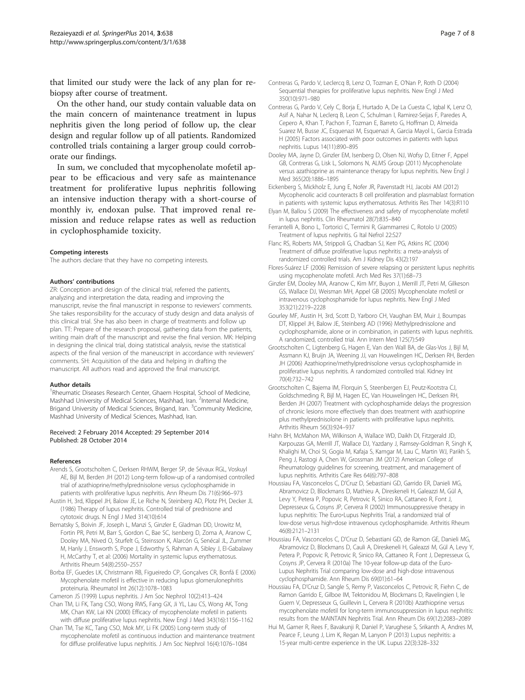<span id="page-6-0"></span>that limited our study were the lack of any plan for rebiopsy after course of treatment.

On the other hand, our study contain valuable data on the main concern of maintenance treatment in lupus nephritis given the long period of follow up, the clear design and regular follow up of all patients. Randomized controlled trials containing a larger group could corroborate our findings.

In sum, we concluded that mycophenolate mofetil appear to be efficacious and very safe as maintenance treatment for proliferative lupus nephritis following an intensive induction therapy with a short-course of monthly iv, endoxan pulse. That improved renal remission and reduce relapse rates as well as reduction in cyclophosphamide toxicity.

#### Competing interests

The authors declare that they have no competing interests.

#### Authors' contributions

ZR: Conception and design of the clinical trial, referred the patients, analyzing and interpretation the data, reading and improving the manuscript, revise the final manuscript in response to reviewers' comments. She takes responsibility for the accuracy of study design and data analysis of this clinical trial. She has also been in charge of treatments and follow up plan. TT: Prepare of the research proposal, gathering data from the patients, writing main draft of the manuscript and revise the final version. MK: Helping in designing the clinical trial, doing statistical analysis, revise the statistical aspects of the final version of the maneuscript in accordance with reviewers' comments. SH: Acquisition of the data and helping in drafting the manuscript. All authors read and approved the final manuscript.

#### Author details

<sup>1</sup>Rheumatic Diseases Research Center, Ghaem Hospital, School of Medicine, Mashhad University of Medical Sciences, Mashhad, Iran. <sup>2</sup>Internal Medicine, Brigand University of Medical Sciences, Brigand, Iran. <sup>3</sup>Community Medicine, Mashhad University of Medical Sciences, Mashhad, Iran.

#### Received: 2 February 2014 Accepted: 29 September 2014 Published: 28 October 2014

#### References

- Arends S, Grootscholten C, Derksen RHWM, Berger SP, de Sévaux RGL, Voskuyl AE, Bijl M, Berden JH (2012) Long-term follow-up of a randomised controlled trial of azathioprine/methylprednisolone versus cyclophosphamide in patients with proliferative lupus nephritis. Ann Rheum Dis 71(6):966–973
- Austin H, 3rd, Klippel JH, Balow JE, Le Riche N, Steinberg AD, Plotz PH, Decker JL (1986) Therapy of lupus nephritis. Controlled trial of prednisone and cytotoxic drugs. N Engl J Med 314(10):614
- Bernatsky S, Boivin JF, Joseph L, Manzi S, Ginzler E, Gladman DD, Urowitz M, Fortin PR, Petri M, Barr S, Gordon C, Bae SC, Isenberg D, Zoma A, Aranow C, Dooley MA, Nived O, Sturfelt G, Steinsson K, Alarcón G, Senécal JL, Zummer M, Hanly J, Ensworth S, Pope J, Edworthy S, Rahman A, Sibley J, El-Gabalawy H, McCarthy T, et al: (2006) Mortality in systemic lupus erythematosus. Arthritis Rheum 54(8):2550–2557
- Borba EF, Guedes LK, Christmann RB, Figueiredo CP, Gonçalves CR, Bonfá E (2006) Mycophenolate mofetil is effective in reducing lupus glomerulonephritis proteinuria. Rheumatol Int 26(12):1078–1083
- Cameron JS (1999) Lupus nephritis. J Am Soc Nephrol 10(2):413–424
- Chan TM, Li FK, Tang CSO, Wong RWS, Fang GX, Ji YL, Lau CS, Wong AK, Tong MK, Chan KW, Lai KN (2000) Efficacy of mycophenolate mofetil in patients with diffuse proliferative lupus nephritis. New Engl J Med 343(16):1156–1162
- Chan TM, Tse KC, Tang CSO, Mok MY, Li FK (2005) Long-term study of mycophenolate mofetil as continuous induction and maintenance treatment for diffuse proliferative lupus nephritis. J Am Soc Nephrol 16(4):1076–1084
- Contreras G, Pardo V, Leclercq B, Lenz O, Tozman E, O'Nan P, Roth D (2004) Sequential therapies for proliferative lupus nephritis. New Engl J Med 350(10):971–980
- Contreras G, Pardo V, Cely C, Borja E, Hurtado A, De La Cuesta C, Iqbal K, Lenz O, Asif A, Nahar N, Leclerq B, Leon C, Schulman I, Ramirez-Seijas F, Paredes A, Cepero A, Khan T, Pachon F, Tozman E, Barreto G, Hoffman D, Almeida Suarez M, Busse JC, Esquenazi M, Esquenazi A, Garcia Mayol L, Garcia Estrada H (2005) Factors associated with poor outcomes in patients with lupus nephritis. Lupus 14(11):890–895
- Dooley MA, Jayne D, Ginzler EM, Isenberg D, Olsen NJ, Wofsy D, Eitner F, Appel GB, Contreras G, Lisk L, Solomons N, ALMS Group (2011) Mycophenolate versus azathioprine as maintenance therapy for lupus nephritis. New Engl J Med 365(20):1886–1895
- Eickenberg S, Mickholz E, Jung E, Nofer JR, Pavenstadt HJ, Jacobi AM (2012) Mycophenolic acid counteracts B cell proliferation and plasmablast formation in patients with systemic lupus erythematosus. Arthritis Res Ther 14(3):R110
- Elyan M, Ballou S (2009) The effectiveness and safety of mycophenolate mofetil in lupus nephritis. Clin Rheumatol 28(7):835–840
- Ferrantelli A, Bono L, Tortorici C, Termini R, Giammarresi C, Rotolo U (2005) Treatment of lupus nephritis. G Ital Nefrol 22:S27
- Flanc RS, Roberts MA, Strippoli G, Chadban SJ, Kerr PG, Atkins RC (2004) Treatment of diffuse proliferative lupus nephritis: a meta-analysis of randomized controlled trials. Am J Kidney Dis 43(2):197
- Flores-Suárez LF (2006) Remission of severe relapsing or persistent lupus nephritis using mycophenolate mofetil. Arch Med Res 37(1):68–73
- Ginzler EM, Dooley MA, Aranow C, Kim MY, Buyon J, Merrill JT, Petri M, Gilkeson GS, Wallace DJ, Weisman MH, Appel GB (2005) Mycophenolate mofetil or intravenous cyclophosphamide for lupus nephritis. New Engl J Med 353(21):2219–2228
- Gourley MF, Austin H, 3rd, Scott D, Yarboro CH, Vaughan EM, Muir J, Boumpas DT, Klippel JH, Balow JE, Steinberg AD (1996) Methylprednisolone and cyclophosphamide, alone or in combination, in patients with lupus nephritis. A randomized, controlled trial. Ann Intern Med 125(7):549
- Grootscholten C, Ligtenberg G, Hagen E, Van den Wall BA, de Glas-Vos J, Bijl M, Assmann KJ, Bruijn JA, Weening JJ, van Houwelingen HC, Derksen RH, Berden JH (2006) Azathioprine/methylprednisolone versus cyclophosphamide in proliferative lupus nephritis. A randomized controlled trial. Kidney Int 70(4):732–742
- Grootscholten C, Bajema IM, Florquin S, Steenbergen EJ, Peutz-Kootstra CJ, Goldschmeding R, Bijl M, Hagen EC, Van Houwelingen HC, Derksen RH, Berden JH (2007) Treatment with cyclophosphamide delays the progression of chronic lesions more effectively than does treatment with azathioprine plus methylprednisolone in patients with proliferative lupus nephritis. Arthritis Rheum 56(3):924–937
- Hahn BH, McMahon MA, Wilkinson A, Wallace WD, Daikh DI, Fitzgerald JD, Karpouzas GA, Merrill JT, Wallace DJ, Yazdany J, Ramsey-Goldman R, Singh K, Khalighi M, Choi SI, Gogia M, Kafaja S, Kamgar M, Lau C, Martin WJ, Parikh S, Peng J, Rastogi A, Chen W, Grossman JM (2012) American College of Rheumatology guidelines for screening, treatment, and management of lupus nephritis. Arthritis Care Res 64(6):797–808
- Houssiau FA, Vasconcelos C, D'Cruz D, Sebastiani GD, Garrido ER, Danieli MG, Abramovicz D, Blockmans D, Mathieu A, Direskeneli H, Galeazzi M, Gül A, Levy Y, Petera P, Popovic R, Petrovic R, Sinico RA, Cattaneo R, Font J, Depresseux G, Cosyns JP, Cervera R (2002) Immunosuppressive therapy in lupus nephritis: The Euro‐Lupus Nephritis Trial, a randomized trial of low-dose versus high‐dose intravenous cyclophosphamide. Arthritis Rheum 46(8):2121–2131
- Houssiau FA, Vasconcelos C, D'Cruz D, Sebastiani GD, de Ramon GE, Danieli MG, Abramovicz D, Blockmans D, Cauli A, Direskeneli H, Galeazzi M, Gül A, Levy Y, Petera P, Popovic R, Petrovic R, Sinico RA, Cattaneo R, Font J, Depresseux G, Cosyns JP, Cervera R (2010a) The 10-year follow-up data of the Euro-Lupus Nephritis Trial comparing low-dose and high-dose intravenous cyclophosphamide. Ann Rheum Dis 69(01):61–64
- Houssiau FA, D'Cruz D, Sangle S, Remy P, Vasconcelos C, Petrovic R, Fiehn C, de Ramon Garrido E, Gilboe IM, Tektonidou M, Blockmans D, Ravelingien I, le Guern V, Depresseux G, Guillevin L, Cervera R (2010b) Azathioprine versus mycophenolate mofetil for long-term immunosuppression in lupus nephritis: results from the MAINTAIN Nephritis Trial. Ann Rheum Dis 69(12):2083–2089
- Hui M, Garner R, Rees F, Bavakunji R, Daniel P, Varughese S, Srikanth A, Andres M, Pearce F, Leung J, Lim K, Regan M, Lanyon P (2013) Lupus nephritis: a 15-year multi-centre experience in the UK. Lupus 22(3):328–332